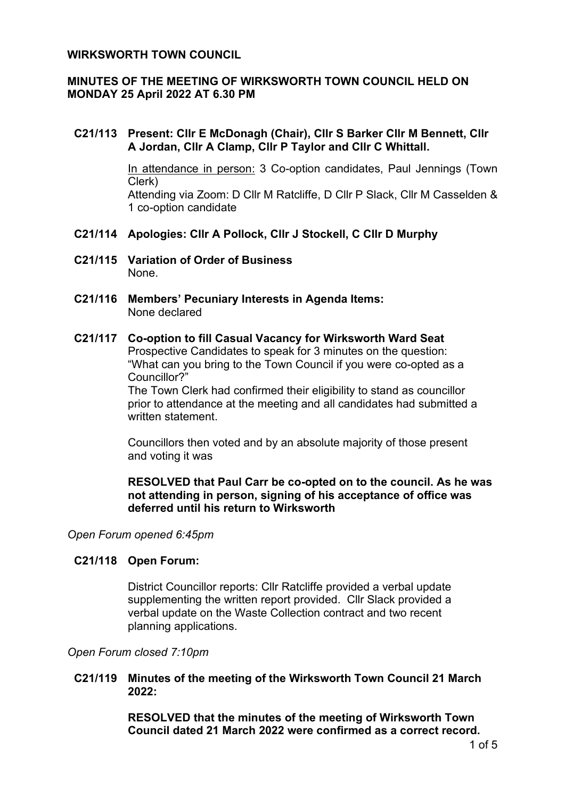## **WIRKSWORTH TOWN COUNCIL**

# **MINUTES OF THE MEETING OF WIRKSWORTH TOWN COUNCIL HELD ON MONDAY 25 April 2022 AT 6.30 PM**

# **C21/113 Present: Cllr E McDonagh (Chair), Cllr S Barker Cllr M Bennett, Cllr A Jordan, Cllr A Clamp, Cllr P Taylor and Cllr C Whittall.**

In attendance in person: 3 Co-option candidates, Paul Jennings (Town Clerk) Attending via Zoom: D Cllr M Ratcliffe, D Cllr P Slack, Cllr M Casselden & 1 co-option candidate

## **C21/114 Apologies: Cllr A Pollock, Cllr J Stockell, C Cllr D Murphy**

- **C21/115 Variation of Order of Business** None.
- **C21/116 Members' Pecuniary Interests in Agenda Items:** None declared

#### **C21/117 Co-option to fill Casual Vacancy for Wirksworth Ward Seat**

Prospective Candidates to speak for 3 minutes on the question: "What can you bring to the Town Council if you were co-opted as a Councillor?"

The Town Clerk had confirmed their eligibility to stand as councillor prior to attendance at the meeting and all candidates had submitted a written statement.

Councillors then voted and by an absolute majority of those present and voting it was

# **RESOLVED that Paul Carr be co-opted on to the council. As he was not attending in person, signing of his acceptance of office was deferred until his return to Wirksworth**

*Open Forum opened 6:45pm*

#### **C21/118 Open Forum:**

District Councillor reports: Cllr Ratcliffe provided a verbal update supplementing the written report provided. Cllr Slack provided a verbal update on the Waste Collection contract and two recent planning applications.

#### *Open Forum closed 7:10pm*

**C21/119 Minutes of the meeting of the Wirksworth Town Council 21 March 2022:**

> **RESOLVED that the minutes of the meeting of Wirksworth Town Council dated 21 March 2022 were confirmed as a correct record.**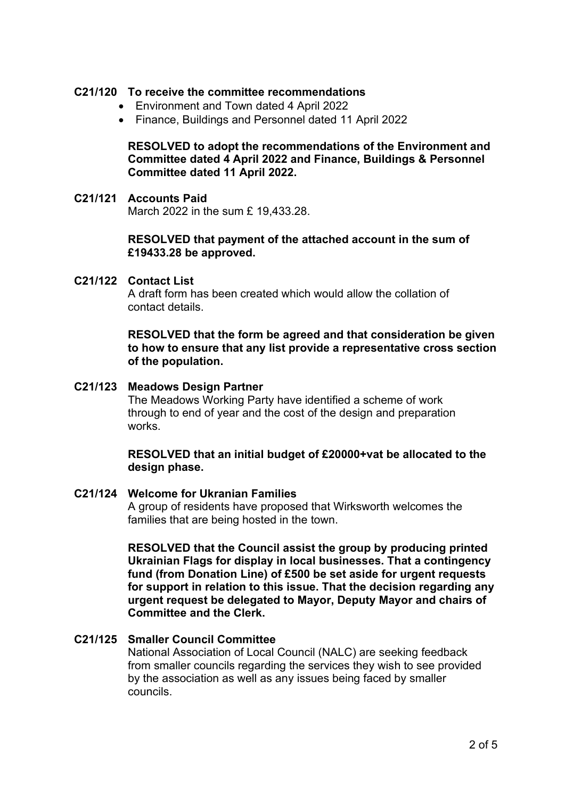## **C21/120 To receive the committee recommendations**

- Environment and Town dated 4 April 2022
- Finance, Buildings and Personnel dated 11 April 2022

# **RESOLVED to adopt the recommendations of the Environment and Committee dated 4 April 2022 and Finance, Buildings & Personnel Committee dated 11 April 2022.**

#### **C21/121 Accounts Paid**

March 2022 in the sum £ 19,433.28.

## **RESOLVED that payment of the attached account in the sum of £19433.28 be approved.**

#### **C21/122 Contact List**

A draft form has been created which would allow the collation of contact details.

### **RESOLVED that the form be agreed and that consideration be given to how to ensure that any list provide a representative cross section of the population.**

#### **C21/123 Meadows Design Partner**

The Meadows Working Party have identified a scheme of work through to end of year and the cost of the design and preparation works.

## **RESOLVED that an initial budget of £20000+vat be allocated to the design phase.**

# **C21/124 Welcome for Ukranian Families**

A group of residents have proposed that Wirksworth welcomes the families that are being hosted in the town.

**RESOLVED that the Council assist the group by producing printed Ukrainian Flags for display in local businesses. That a contingency fund (from Donation Line) of £500 be set aside for urgent requests for support in relation to this issue. That the decision regarding any urgent request be delegated to Mayor, Deputy Mayor and chairs of Committee and the Clerk.**

#### **C21/125 Smaller Council Committee**

National Association of Local Council (NALC) are seeking feedback from smaller councils regarding the services they wish to see provided by the association as well as any issues being faced by smaller councils.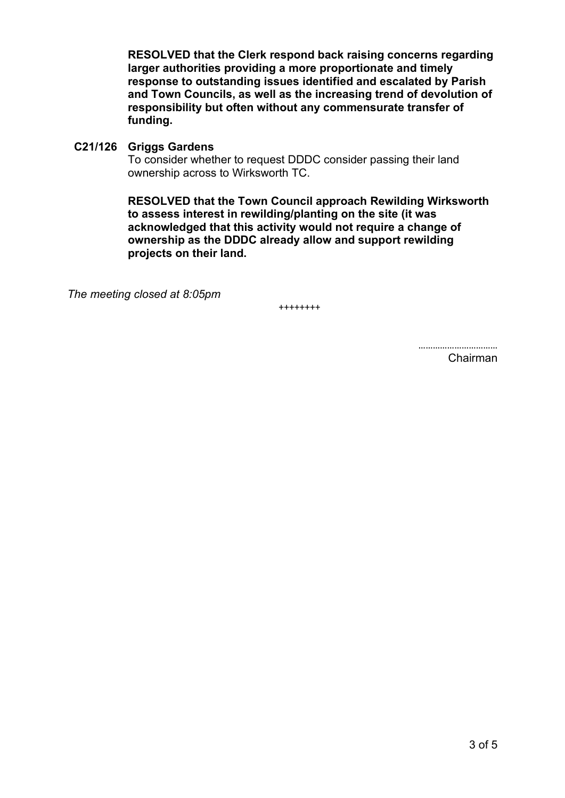**RESOLVED that the Clerk respond back raising concerns regarding larger authorities providing a more proportionate and timely response to outstanding issues identified and escalated by Parish and Town Councils, as well as the increasing trend of devolution of responsibility but often without any commensurate transfer of funding.** 

**C21/126 Griggs Gardens**

To consider whether to request DDDC consider passing their land ownership across to Wirksworth TC.

**RESOLVED that the Town Council approach Rewilding Wirksworth to assess interest in rewilding/planting on the site (it was acknowledged that this activity would not require a change of ownership as the DDDC already allow and support rewilding projects on their land.**

*The meeting closed at 8:05pm*

++++++++

…………………………… Chairman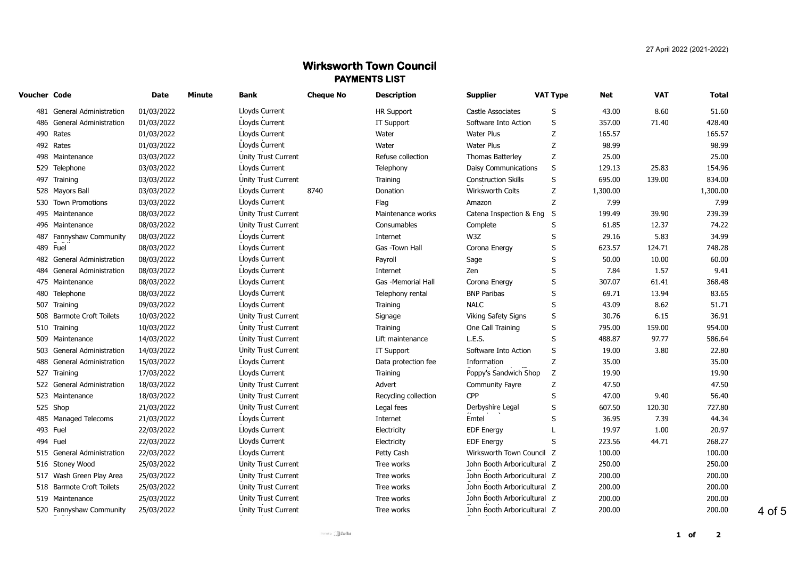# **Wirksworth Town Council PAYMENTS LIST**

| Voucher Code |                               | Date       | Minute | <b>Bank</b>                | <b>Cheque No</b> | <b>Description</b>   | <b>Supplier</b>             | <b>VAT Type</b> | Net      | <b>VAT</b> | Total    |
|--------------|-------------------------------|------------|--------|----------------------------|------------------|----------------------|-----------------------------|-----------------|----------|------------|----------|
|              | 481 General Administration    | 01/03/2022 |        | Lloyds Current             |                  | <b>HR Support</b>    | Castle Associates           | S               | 43.00    | 8.60       | 51.60    |
|              | 486 General Administration    | 01/03/2022 |        | Lloyds Current             |                  | IT Support           | Software Into Action        | S               | 357.00   | 71.40      | 428.40   |
|              | 490 Rates                     | 01/03/2022 |        | Lloyds Current             |                  | Water                | <b>Water Plus</b>           | Ζ               | 165.57   |            | 165.57   |
|              | 492 Rates                     | 01/03/2022 |        | Lloyds Current             |                  | Water                | <b>Water Plus</b>           | Z               | 98.99    |            | 98.99    |
|              | 498 Maintenance               | 03/03/2022 |        | <b>Unity Trust Current</b> |                  | Refuse collection    | <b>Thomas Batterley</b>     | Ζ               | 25.00    |            | 25.00    |
|              | 529 Telephone                 | 03/03/2022 |        | Lloyds Current             |                  | Telephony            | <b>Daisy Communications</b> | S               | 129.13   | 25.83      | 154.96   |
|              | 497 Training                  | 03/03/2022 |        | Unity Trust Current        |                  | Training             | <b>Construction Skills</b>  | S               | 695.00   | 139.00     | 834.00   |
|              | 528 Mayors Ball               | 03/03/2022 |        | Lloyds Current             | 8740             | Donation             | Wirksworth Colts            | Z               | 1,300.00 |            | 1,300.00 |
|              | 530 Town Promotions           | 03/03/2022 |        | Lloyds Current             |                  | Flag                 | Amazon                      | Z               | 7.99     |            | 7.99     |
|              | 495 Maintenance               | 08/03/2022 |        | Unity Trust Current        |                  | Maintenance works    | Catena Inspection & Eng     | S               | 199.49   | 39.90      | 239.39   |
|              | 496 Maintenance               | 08/03/2022 |        | Unity Trust Current        |                  | Consumables          | Complete                    | S               | 61.85    | 12.37      | 74.22    |
|              | 487 Fannyshaw Community       | 08/03/2022 |        | Lloyds Current             |                  | Internet             | W3Z                         | S               | 29.16    | 5.83       | 34.99    |
|              | 489 Fuel                      | 08/03/2022 |        | Lloyds Current             |                  | Gas -Town Hall       | Corona Energy               | S               | 623.57   | 124.71     | 748.28   |
|              | 482 General Administration    | 08/03/2022 |        | Lloyds Current             |                  | Payroll              | Sage                        | S               | 50.00    | 10.00      | 60.00    |
| 484          | <b>General Administration</b> | 08/03/2022 |        | Lloyds Current             |                  | Internet             | Zen                         | S               | 7.84     | 1.57       | 9.41     |
|              | 475 Maintenance               | 08/03/2022 |        | Lloyds Current             |                  | Gas -Memorial Hall   | Corona Energy               | S               | 307.07   | 61.41      | 368.48   |
| 480          | Telephone                     | 08/03/2022 |        | Lloyds Current             |                  | Telephony rental     | <b>BNP Paribas</b>          | S               | 69.71    | 13.94      | 83.65    |
| 507          | Training                      | 09/03/2022 |        | Lloyds Current             |                  | Training             | <b>NALC</b>                 | S               | 43.09    | 8.62       | 51.71    |
| 508          | <b>Barmote Croft Toilets</b>  | 10/03/2022 |        | Unity Trust Current        |                  | Signage              | Viking Safety Signs         | S               | 30.76    | 6.15       | 36.91    |
| 510          | Training                      | 10/03/2022 |        | Unity Trust Current        |                  | Training             | One Call Training           | S               | 795.00   | 159.00     | 954.00   |
| 509          | Maintenance                   | 14/03/2022 |        | Unity Trust Current        |                  | Lift maintenance     | L.E.S.                      | S               | 488.87   | 97.77      | 586.64   |
| 503          | <b>General Administration</b> | 14/03/2022 |        | Unity Trust Current        |                  | IT Support           | Software Into Action        | S               | 19.00    | 3.80       | 22.80    |
| 488          | General Administration        | 15/03/2022 |        | Lloyds Current             |                  | Data protection fee  | Information                 | Ζ               | 35.00    |            | 35.00    |
| 527          | Training                      | 17/03/2022 |        | Lloyds Current             |                  | Training             | Poppy's Sandwich Shop       | Z               | 19.90    |            | 19.90    |
|              | 522 General Administration    | 18/03/2022 |        | Unity Trust Current        |                  | Advert               | Community Fayre             | Ζ               | 47.50    |            | 47.50    |
|              | 523 Maintenance               | 18/03/2022 |        | Unity Trust Current        |                  | Recycling collection | CPP                         | S               | 47.00    | 9.40       | 56.40    |
|              | 525 Shop                      | 21/03/2022 |        | Unity Trust Current        |                  | Legal fees           | Derbyshire Legal            | S               | 607.50   | 120.30     | 727.80   |
|              | 485 Managed Telecoms          | 21/03/2022 |        | Lloyds Current             |                  | Internet             | Emtel                       | S               | 36.95    | 7.39       | 44.34    |
|              | 493 Fuel                      | 22/03/2022 |        | Lloyds Current             |                  | Electricity          | EDF Energy                  |                 | 19.97    | 1.00       | 20.97    |
| 494          | Fuel                          | 22/03/2022 |        | Lloyds Current             |                  | Electricity          | <b>EDF Energy</b>           | S               | 223.56   | 44.71      | 268.27   |
|              | 515 General Administration    | 22/03/2022 |        | Lloyds Current             |                  | Petty Cash           | Wirksworth Town Council Z   |                 | 100.00   |            | 100.00   |
|              | 516 Stoney Wood               | 25/03/2022 |        | Unity Trust Current        |                  | Tree works           | John Booth Arboricultural Z |                 | 250.00   |            | 250.00   |
| 517          | Wash Green Play Area          | 25/03/2022 |        | Unity Trust Current        |                  | Tree works           | John Booth Arboricultural Z |                 | 200.00   |            | 200.00   |
|              | 518 Barmote Croft Toilets     | 25/03/2022 |        | Unity Trust Current        |                  | Tree works           | John Booth Arboricultural Z |                 | 200.00   |            | 200.00   |
|              | 519 Maintenance               | 25/03/2022 |        | <b>Unity Trust Current</b> |                  | Tree works           | John Booth Arboricultural Z |                 | 200.00   |            | 200.00   |
|              | 520 Fannyshaw Community       | 25/03/2022 |        | Unity Trust Current        |                  | Tree works           | John Booth Arboricultural Z |                 | 200.00   |            | 200.00   |
|              |                               |            |        |                            |                  |                      |                             |                 |          |            |          |

4 of 5